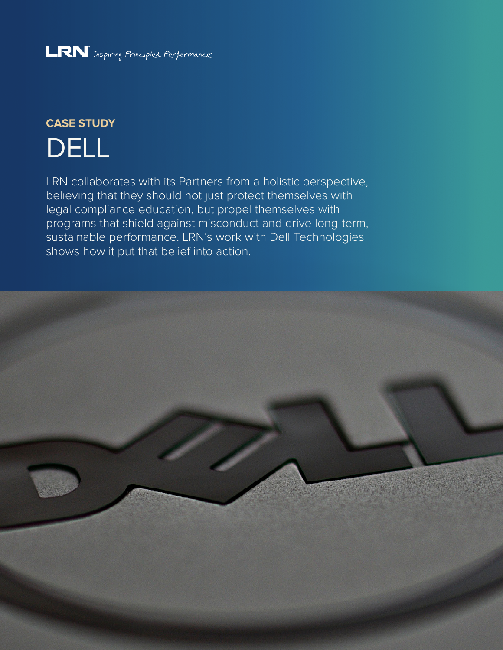## LRN Inspiring Principled Performance

# **CASE STUDY** DELL

LRN collaborates with its Partners from a holistic perspective, believing that they should not just protect themselves with legal compliance education, but propel themselves with programs that shield against misconduct and drive long-term, sustainable performance. LRN's work with Dell Technologies shows how it put that belief into action.

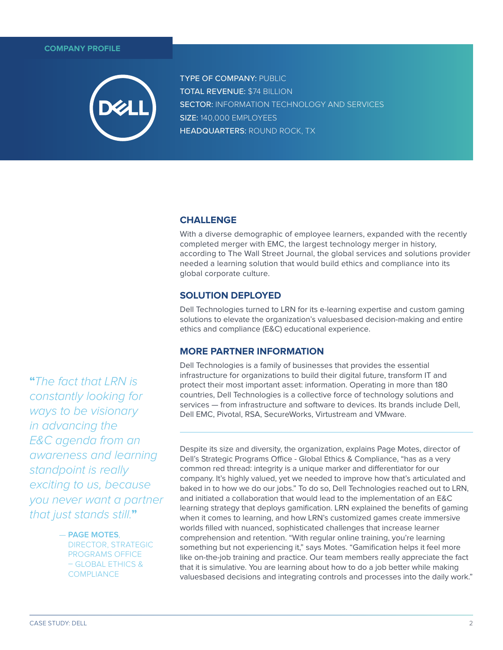#### **COMPANY PROFILE**



TYPE OF COMPANY: PUBLIC TOTAL REVENUE: \$74 BILLION **SECTOR: INFORMATION TECHNOLOGY AND SERVICES** SIZE: 140,000 EMPLOYEES HEADQUARTERS: ROUND ROCK, TX

## **CHALLENGE**

With a diverse demographic of employee learners, expanded with the recently completed merger with EMC, the largest technology merger in history, according to The Wall Street Journal, the global services and solutions provider needed a learning solution that would build ethics and compliance into its global corporate culture.

## **SOLUTION DEPLOYED**

Dell Technologies turned to LRN for its e-learning expertise and custom gaming solutions to elevate the organization's valuesbased decision-making and entire ethics and compliance (E&C) educational experience.

### **MORE PARTNER INFORMATION**

Dell Technologies is a family of businesses that provides the essential infrastructure for organizations to build their digital future, transform IT and protect their most important asset: information. Operating in more than 180 countries, Dell Technologies is a collective force of technology solutions and services — from infrastructure and software to devices. Its brands include Dell, Dell EMC, Pivotal, RSA, SecureWorks, Virtustream and VMware.

Despite its size and diversity, the organization, explains Page Motes, director of Dell's Strategic Programs Office - Global Ethics & Compliance, "has as a very common red thread: integrity is a unique marker and differentiator for our company. It's highly valued, yet we needed to improve how that's articulated and baked in to how we do our jobs." To do so, Dell Technologies reached out to LRN, and initiated a collaboration that would lead to the implementation of an E&C learning strategy that deploys gamification. LRN explained the benefits of gaming when it comes to learning, and how LRN's customized games create immersive worlds filled with nuanced, sophisticated challenges that increase learner comprehension and retention. "With regular online training, you're learning something but not experiencing it," says Motes. "Gamification helps it feel more like on-the-job training and practice. Our team members really appreciate the fact that it is simulative. You are learning about how to do a job better while making valuesbased decisions and integrating controls and processes into the daily work."

**"**The fact that LRN is constantly looking for ways to be visionary in advancing the E&C agenda from an awareness and learning standpoint is really exciting to us, because you never want a partner that just stands still.**"**

#### — **PAGE MOTES**,

DIRECTOR, STRATEGIC PROGRAMS OFFICE – GLOBAL ETHICS & **COMPLIANCE**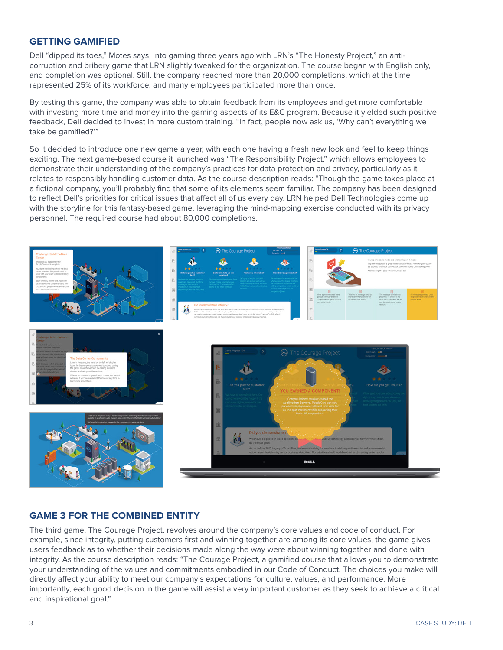## **GETTING GAMIFIED**

Dell "dipped its toes," Motes says, into gaming three years ago with LRN's "The Honesty Project," an anticorruption and bribery game that LRN slightly tweaked for the organization. The course began with English only, and completion was optional. Still, the company reached more than 20,000 completions, which at the time represented 25% of its workforce, and many employees participated more than once.

By testing this game, the company was able to obtain feedback from its employees and get more comfortable with investing more time and money into the gaming aspects of its E&C program. Because it yielded such positive feedback, Dell decided to invest in more custom training. "In fact, people now ask us, 'Why can't everything we take be gamified?'"

So it decided to introduce one new game a year, with each one having a fresh new look and feel to keep things exciting. The next game-based course it launched was "The Responsibility Project," which allows employees to demonstrate their understanding of the company's practices for data protection and privacy, particularly as it relates to responsibly handling customer data. As the course description reads: "Though the game takes place at a fictional company, you'll probably find that some of its elements seem familiar. The company has been designed to reflect Dell's priorities for critical issues that affect all of us every day. LRN helped Dell Technologies come up with the storyline for this fantasy-based game, leveraging the mind-mapping exercise conducted with its privacy personnel. The required course had about 80,000 completions.



## **GAME 3 FOR THE COMBINED ENTITY**

The third game, The Courage Project, revolves around the company's core values and code of conduct. For example, since integrity, putting customers first and winning together are among its core values, the game gives users feedback as to whether their decisions made along the way were about winning together and done with integrity. As the course description reads: "The Courage Project, a gamified course that allows you to demonstrate your understanding of the values and commitments embodied in our Code of Conduct. The choices you make will directly affect your ability to meet our company's expectations for culture, values, and performance. More importantly, each good decision in the game will assist a very important customer as they seek to achieve a critical and inspirational goal."